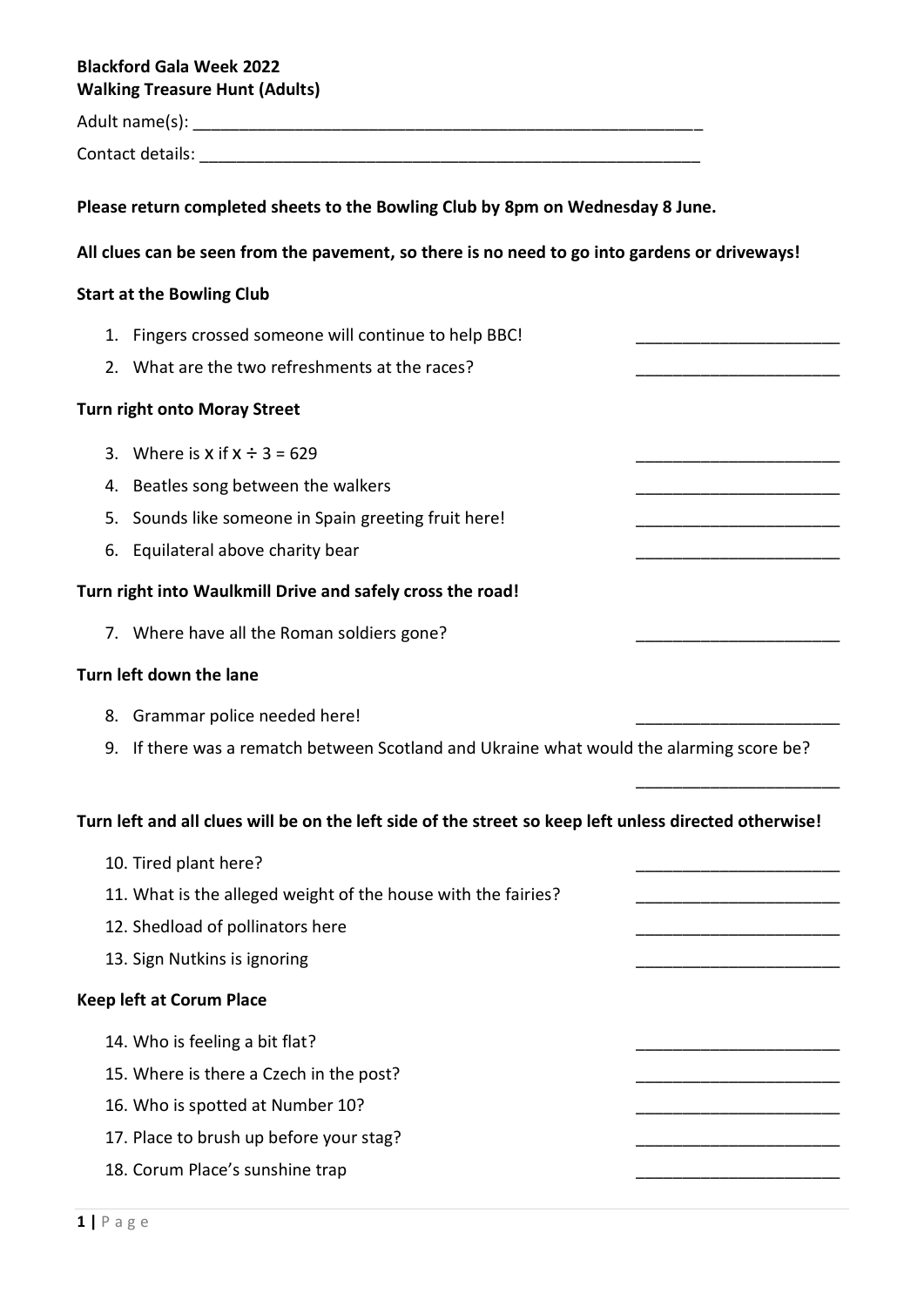# **Blackford Gala Week 2022 Walking Treasure Hunt (Adults)**

Adult name(s): \_\_\_\_\_\_\_\_\_\_\_\_\_\_\_\_\_\_\_\_\_\_\_\_\_\_\_\_\_\_\_\_\_\_\_\_\_\_\_\_\_\_\_\_\_\_\_\_\_\_\_\_\_\_\_

Contact details: \_\_\_\_\_\_\_\_\_\_\_\_\_\_\_\_\_\_\_\_\_\_\_\_\_\_\_\_\_\_\_\_\_\_\_\_\_\_\_\_\_\_\_\_\_\_\_\_\_\_\_\_\_\_

**Please return completed sheets to the Bowling Club by 8pm on Wednesday 8 June.**

## **All clues can be seen from the pavement, so there is no need to go into gardens or driveways!**

## **Start at the Bowling Club**

- 1. Fingers crossed someone will continue to help BBC!
- 2. What are the two refreshments at the races?

#### **Turn right onto Moray Street**

- 3. Where is  $x$  if  $x \div 3 = 629$
- 4. Beatles song between the walkers
- 5. Sounds like someone in Spain greeting fruit here!
- 6. Equilateral above charity bear

# **Turn right into Waulkmill Drive and safely cross the road!**

7. Where have all the Roman soldiers gone?

#### **Turn left down the lane**

- 8. Grammar police needed here!
- 9. If there was a rematch between Scotland and Ukraine what would the alarming score be?

\_\_\_\_\_\_\_\_\_\_\_\_\_\_\_\_\_\_\_\_\_\_

#### **Turn left and all clues will be on the left side of the street so keep left unless directed otherwise!**

10. Tired plant here? 11. What is the alleged weight of the house with the fairies? 12. Shedload of pollinators here 13. Sign Nutkins is ignoring **Keep left at Corum Place** 14. Who is feeling a bit flat? 15. Where is there a Czech in the post? 16. Who is spotted at Number 10? 17. Place to brush up before your stag? 18. Corum Place's sunshine trap